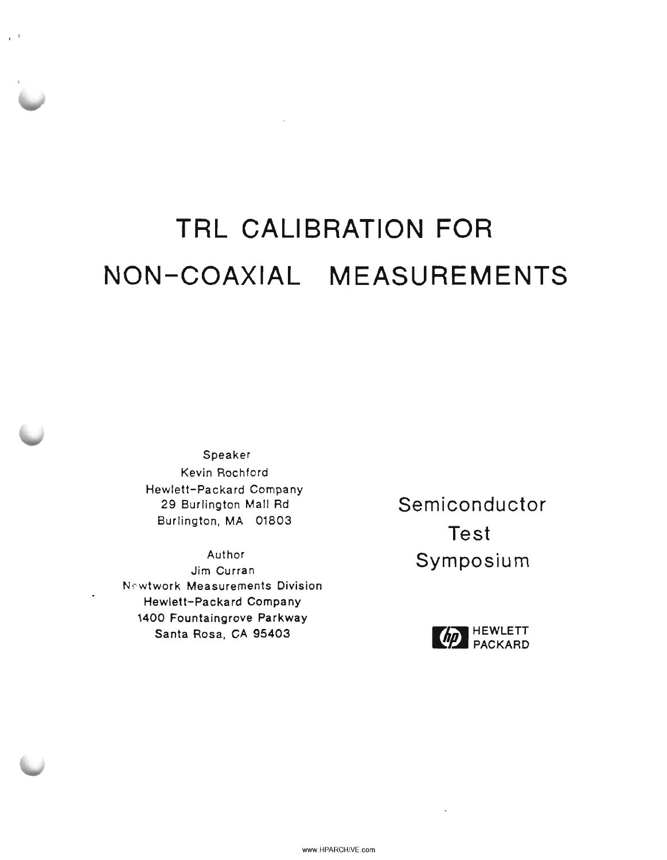# **TRL CALIBRATION FOR NON-COAXIAL MEASUREMENTS**

Speaker Kevin Rochford Hewlett-Packard Company 29 Burlington Mall Rd Burlington, MA 01803

, .

Author Jim Curran Newtwork Measurements Division Hewlett-Packard Company 1400 Fountaingrove Parkway Santa Rosa, CA 95403

**Semiconductor Test Symposium**



 $\cdot$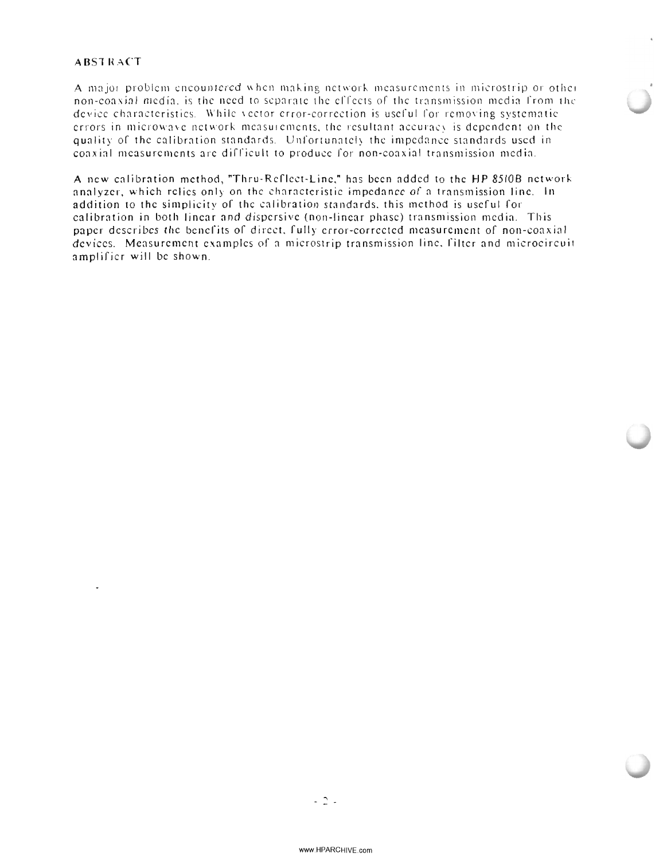#### **ABSTRACT**

A major problem encountered when making network measurements in microstrip or other non-coaxial media, is the need to separate the effects of the transmission media from the device characteristics. While vector error-correction is useful for removing systematic errors in microwave network measurements, the resultant accuracy is dependent on the quality of the calibration standards. Unfortunately the impedance standards used in coaxial measurements are difficult to produce for non-coaxial transmission media.

A new calibration method, "Thru-Reflect-Line," has been added to the HP 8510B network analyzer, which relies only on the characteristic impedance of a transmission line. In addition to the simplicity of the calibration standards, this method is useful for calibration in both linear and dispersive (non-linear phase) transmission media. This paper describes the benefits of direct, fully error-corrected measurement of non-coaxial devices. Measurement examples of a microstrip transmission line, filter and microcircuit amplifier will be shown.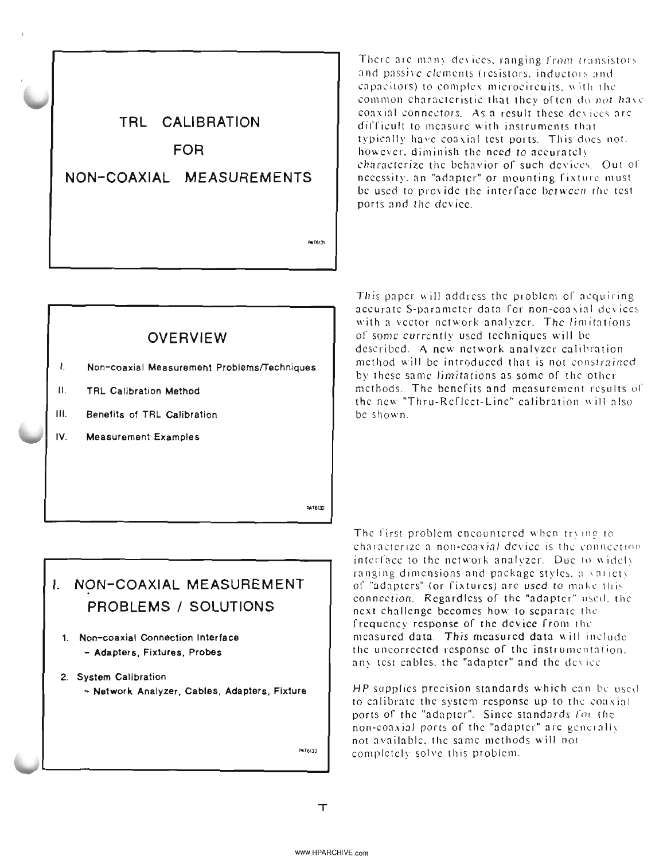TRL CALIBRATION **FOR** NON-COAXIAL MEASUREMENTS

There are many devices, ranging from transistors and passive elements (resistors, inductors and capacitors) to complex microcircuits, with the common characteristic that they often do not have convint connectors. As a result these devices are difficult to measure with instruments that typically have coaxial test ports. This does not. however, diminish the need to accurately characterize the behavior of such devices. Out of necessity, an "adapter" or mounting fixture must be used to provide the interface between the test ports and the device.

## **OVERVIEW**

- I. Non-coaxial Measurement Problems/Techniques
- $\mathbf{H}$ . **TRL Calibration Method**
- $III.$ Benefits of TRL Calibration
- $\overline{V}$ **Measurement Examples**

This paper will address the problem of acquiring accurate S-parameter data for non-coaxial devices with a vector network analyzer. The limitations of some currently used techniques will be described. A new network analyzer calibration method will be introduced that is not constrained by these same limitations as some of the other methods. The benefits and measurement results of the new "Thru-Reflect-Line" calibration will also be shown.

**PATALIC** 

PATECH

# I. NON-COAXIAL MEASUREMENT PROBLEMS / SOLUTIONS

1. Non-coaxial Connection Interface - Adapters, Fixtures, Probes

#### 2. System Calibration

- Network Analyzer, Cables, Adapters, Fixture

PAT6133

The first problem encountered when trying to characterize a non-coaxial device is the connection. interface to the network analyzer. Due to widely ranging dimensions and package styles, a variety of "adapters" (or fixtures) are used to make this connection. Regardless of the "adapter" used, the next challenge becomes how to separate the frequency response of the device from the measured data. This measured data will include the uncorrected response of the instrumentation. any test cables, the "adapter" and the device

HP supplies precision standards which can be used to calibrate the system response up to the coaxial ports of the "adapter". Since standards for the non-coaxial ports of the "adapter" are generally not available, the same methods will not completely solve this problem.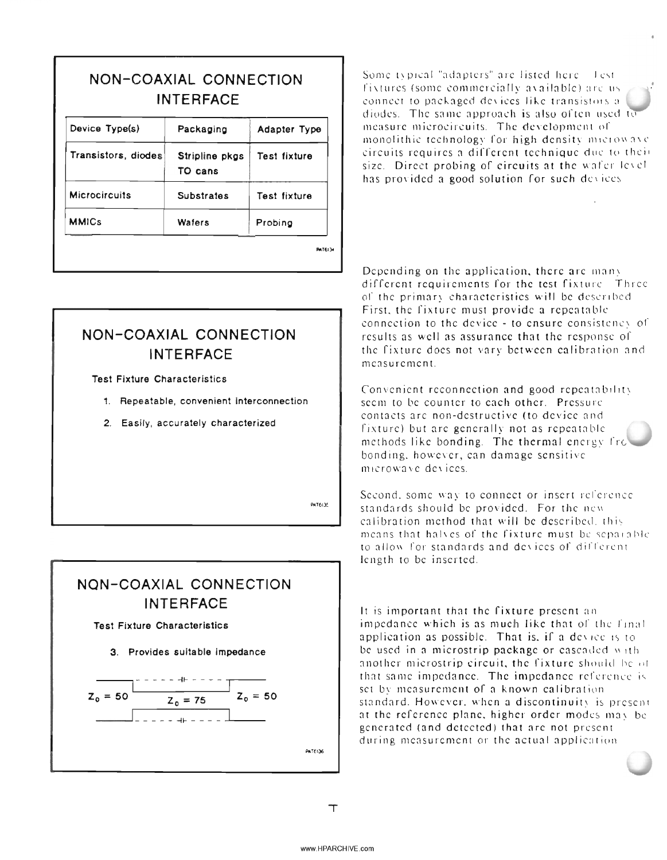| NON-COAXIAL CONNECTION<br><b>INTERFACE</b> |                           |                     |
|--------------------------------------------|---------------------------|---------------------|
| Device Type(s)                             | Packaging                 | Adapter Type        |
| Transistors, diodes                        | Stripline pkgs<br>TO cans | Test fixture        |
| <b>Microcircuits</b>                       | Substrates                | <b>Test fixture</b> |
| <b>MMICs</b>                               | Wafers                    | Probing             |

NON-COAXIAL CONNECTION **INTERFACE** 

**Test Fixture Characteristics** 

- 1. Repeatable, convenient interconnection
- 2. Easily, accurately characterized

PaTA135

## NON-COAXIAL CONNECTION **INTERFACE**

**Test Fixture Characteristics** 

#### 3. Provides suitable impedance



Some typical "adapters" are listed here fest fixtures (some commercially available) are usconnect to packaged devices like transistors a diodes. The same approach is also often used to measure microcircuits. The development of monolithic technology for high density microwave circuits requires a different technique due to their size. Direct probing of circuits at the wafer level. has provided a good solution for such devices

Depending on the application, there are many different requirements for the test fixture. Three of the primary characteristics will be described. First, the fixture must provide a repeatable connection to the device - to ensure consistency of results as well as assurance that the response of the fixture does not vary between calibration and measurement.

Convenient reconnection and good repeatability seem to be counter to each other. Pressure contacts are non-destructive (to device and fixture) but are generally not as repeatable methods like bonding. The thermal energy frebonding, however, can damage sensitive microwave devices.

Second, some way to connect or insert reference standards should be provided. For the new calibration method that will be described, this means that halves of the fixture must be separable to allow for standards and devices of different length to be inserted.

It is important that the fixture present an impedance which is as much like that of the final application as possible. That is, if a device is to be used in a microstrip package or cascaded with another microstrip circuit, the fixture should be of that same impedance. The impedance reference is set by measurement of a known calibration standard. However, when a discontinuity is present at the reference plane, higher order modes may be generated (and detected) that are not present during measurement or the actual application

PATE136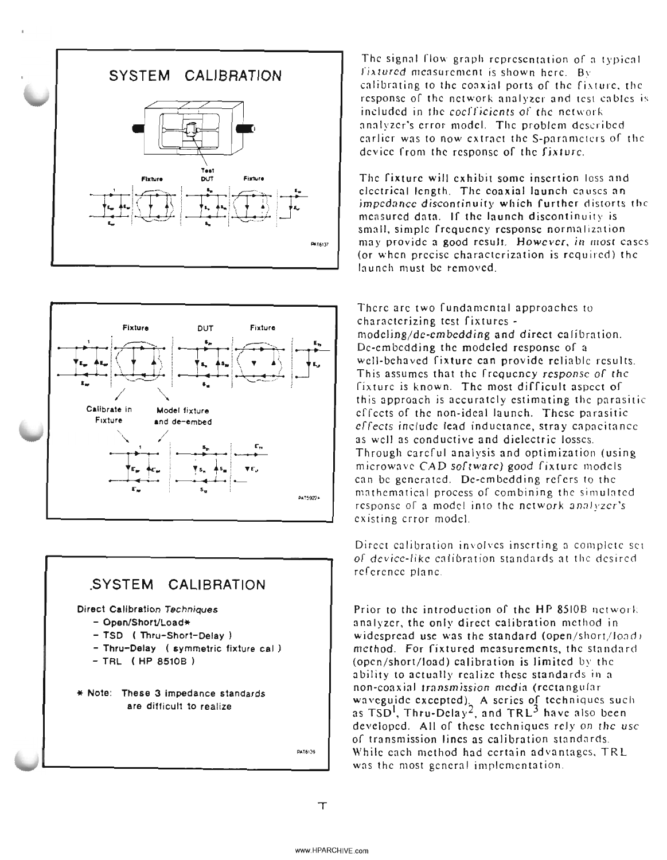





PAT6139

The signal flow graph representation of a typical fixtured measurement is shown here. By calibrating to the coaxial ports of the fixture, the response of the network analyzer and test cables is included in the coefficients of the network analyzer's error model. The problem described earlier was to now extract the S-parameters of the device from the response of the fixture.

The fixture will exhibit some insertion loss and electrical length. The coaxial launch causes an impedance discontinuity which further distorts the measured data. If the launch discontinuity is small, simple frequency response normalization may provide a good result. However, in most cases (or when precise characterization is required) the launch must be removed.

There are two fundamental approaches to characterizing test fixtures modeling/de-embedding and direct calibration. Dc-embedding the modeled response of a well-behaved fixture can provide reliable results. This assumes that the frequency response of the fixture is known. The most difficult aspect of this approach is accurately estimating the parasitic effects of the non-ideal launch. These parasitic effects include lead inductance, stray capacitance as well as conductive and dielectric losses. Through carcful analysis and optimization (using microwave CAD software) good fixture models can be generated. De-embedding refers to the mathematical process of combining the simulated response of a model into the network analyzer's existing error model.

Direct calibration involves inserting a complete set of device-like calibration standards at the desired reference plane.

Prior to the introduction of the HP 8510B network analyzer, the only direct calibration method in widespread use was the standard (open/short/load) method. For fixtured measurements, the standard (open/short/load) calibration is limited by the ability to actually realize these standards in a non-coaxial transmission media (rectangular waveguide excepted), A series of techniques such as  $TSD<sup>1</sup>$ , Thru-Delay<sup>2</sup>, and  $TRL<sup>3</sup>$  have also been developed. All of these techniques rely on the use of transmission lines as calibration standards. While each method had certain advantages, TRL was the most general implementation.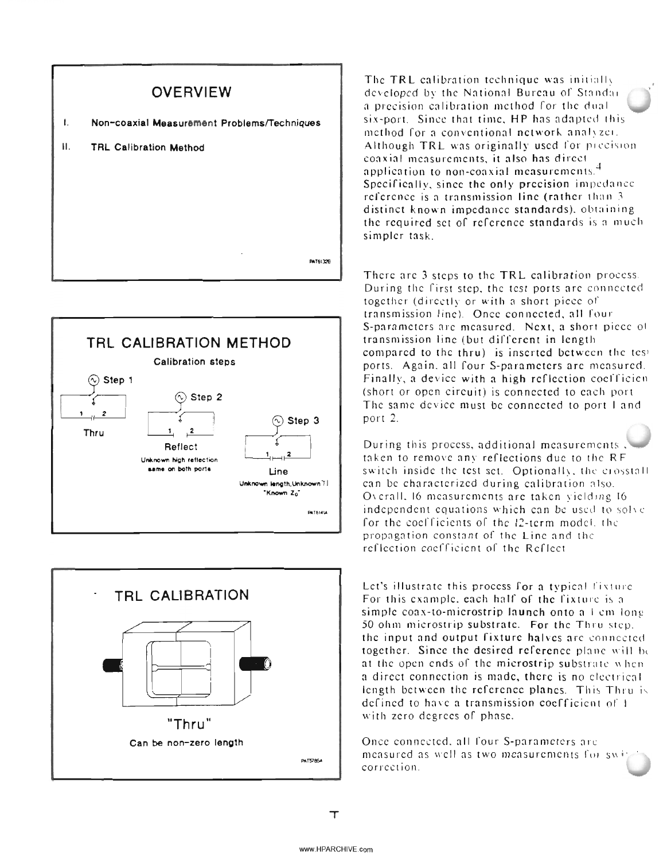





The TRL calibration technique was initially developed by the National Bureau of Standar a precision calibration method for the dual six-port. Since that time, HP has adapted this method for a conventional network analyzer. Although TRL was originally used for precision coaxial measurements, it also has direct application to non-coaxial measurements.<sup>4</sup> Specifically, since the only precision impedance reference is a transmission line (rather than 3 distinct known impedance standards), obtaining the required set of reference standards is a much simpler task.

There are 3 steps to the TRL calibration process. During the first step, the test ports are connected together (directly or with a short piece of transmission line). Once connected, all four S-parameters are measured. Next, a short piece of transmission line (but different in length compared to the thru) is inserted between the test ports. Again, all four S-parameters are measured. Finally, a device with a high reflection coefficien (short or open circuit) is connected to each port The same device must be connected to port I and port 2.

During this process, additional measurements taken to remove any reflections due to the RF switch inside the test set. Optionally, the crosstall can be characterized during calibration also. Overall, 16 measurements are taken vielding 16 independent equations which can be used to solve for the coefficients of the 12-term model, the propagation constant of the Line and the reflection coefficient of the Reflect

Let's illustrate this process for a typical fixture For this example, each half of the fixture is a simple coax-to-microstrip launch onto a 1 cm long 50 ohm microstrip substrate. For the Thru step. the input and output fixture halves are connected. together. Since the desired reference plane will be at the open ends of the microstrip substrate when a direct connection is made, there is no electrical length between the reference planes. This Thru is defined to have a transmission coefficient of 1 with zero degrees of phase.

Once connected, all four S-parameters are measured as well as two measurements for swi correction.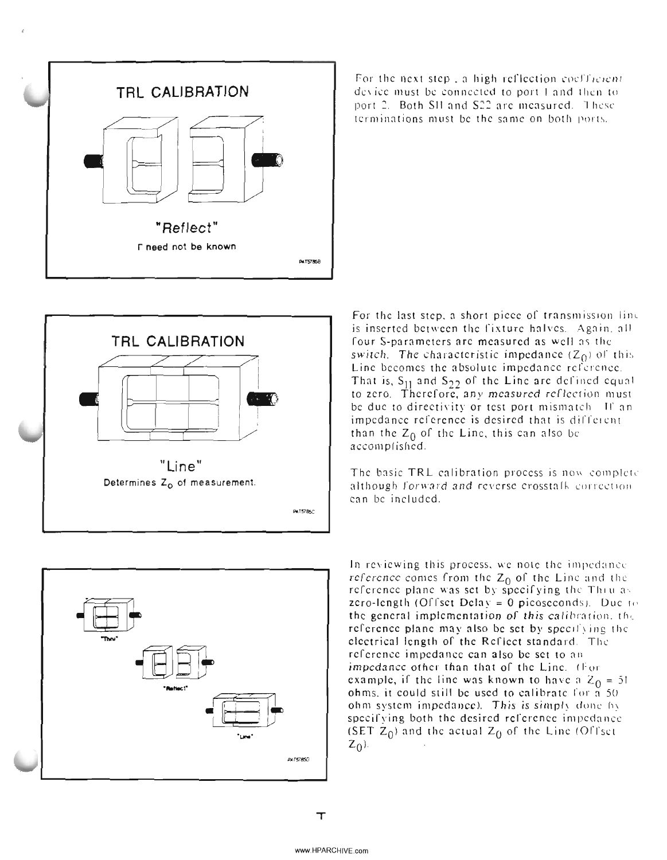



For the next step, a high reflection coefficient de\ ice must be connected to port I and then to port 2. Both SII and S22 are measured. These terminations must be the same on both ports.

For the last step, a short piece of transmission line is inserted between the fixture halves. Again, all four S-parameters are measured as well as the switch. The characteristic impedance  $(Z_0)$  of this Line becomes the absolute impedance reference. That is,  $S_{11}$  and  $S_{22}$  of the Line are defined equal to zero. Therefore, any measured reflection must be due to directivity or test port mismatch. If an impedance reference is desired that is different than the  $Z_0$  of the Line, this can also be accomplished.

The basic TRL calibration process is now complete although forward and reverse crosstall-correction. can be included.



In reviewing this process, we note the impedance reference comes from the  $Z_0$  of the Line and the reference plane was set by specifying the Thru as zero-length (Offset Delay = 0 picoseconds). Due to the general implementation of this calibration, the reference plane may also be set by specifying the electrical length of the Reflect standard. The reference impedance can also be set to an impedance other than that of the Line. (For example, if the line was known to have a  $Z_0 = 51$ ohms, it could still be used to calibrate for  $\tilde{a}$  50 ohm system impedance). This is simply done by specifying both the desired reference impedance (SET  $Z_0$ ) and the actual  $Z_0$  of the Line (Offset  $z_0$ ).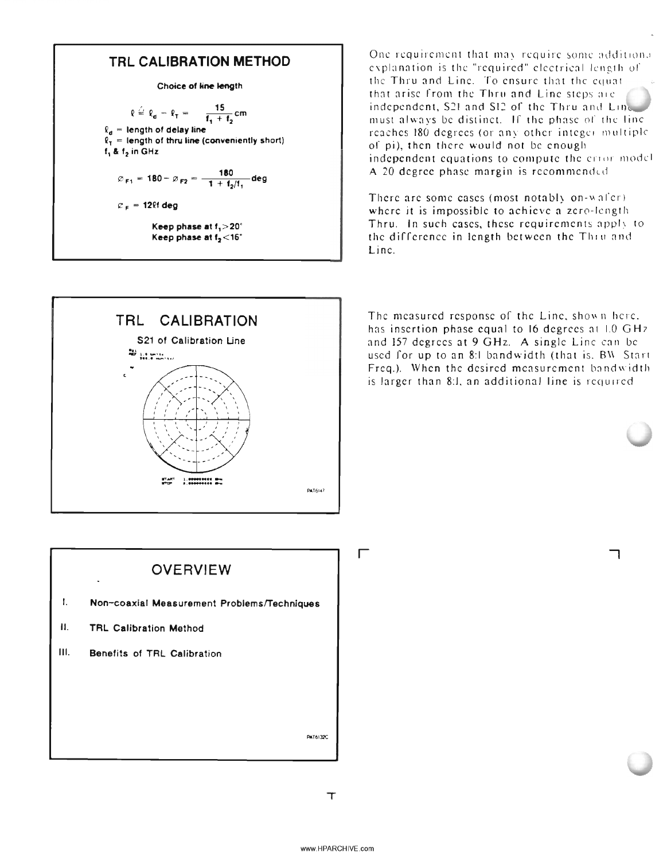### **TRI CALIBRATION METHOD**

**Choice of line length** 

$$
\rho \stackrel{\triangle}{=} \ell_{\mathsf{d}} - \ell_{\mathsf{T}} = -\frac{15}{\mathsf{f}_{\mathsf{t}} + \mathsf{f}_{\mathsf{2}}} \mathsf{cm}
$$

 $\ell_{\rm d}$  = length of delay line  $\ell_{\tau}$  = length of thru line (conveniently short)

 $f_1$  &  $f_2$  in GHz

$$
\varnothing_{F1} = 180 - \varnothing_{F2} = \frac{180}{1 + 1/1} \text{deg}
$$

 $c_F$  = 12lf deg

Keep phase at f<sub>1</sub>>20° Keep phase at f<sub>2</sub><16°



One requirement that may require some additional explanation is the "required" electrical length of the Thru and Line. To ensure that the equat that arise from the Thru and Line steps are independent, S21 and S12 of the Thru and Line must always be distinct. If the phase of the line reaches 180 degrees (or any other integer multiple of pi), then there would not be enough independent equations to compute the error model A 20 degree phase margin is recommended

There are some cases (most notably on-wafer) where it is impossible to achieve a zero-length Thru. In such cases, these requirements apply to the difference in length between the Thru and l inc.

The measured response of the Line, shown here. has insertion phase equal to 16 degrees at 1.0 GHz and 157 degrees at 9 GHz. A single Line can be used for up to an 8:1 bandwidth (that is, BW Start Freq.). When the desired measurement bandwidth is larger than 8.1, an additional line is required

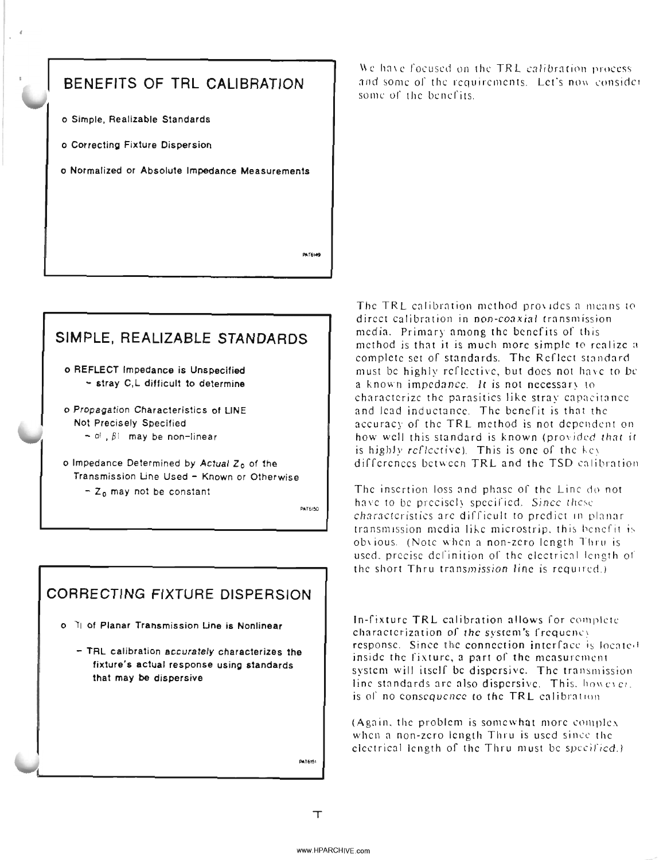

## **SIMPLE, REALIZABLE STANDARDS**

o REFLECT Impedance is Unspecified - stray C,L difficult to determine

o Propagation Characteristics of UNE Not Precisely Specified  $0!$ ,  $\beta$ I may be non-linear

o Impedance Determined by Actual Z<sub>o</sub> of the Transmission Une Used - Known or Otherwise  $- Z_0$  may not be constant

PAT6150

## **CORRECTING FIXTURE DISPERSION**

- o 11 of Planar Transmission Line is Nonlinear
	- TRL calibration accurately characterizes the fixture's actual response using standards that may be dispersive

We have focused on the TRL calibration process and some of the requirements. Let's now consider some of the benefits.

The TRL calibration method provides a means to direct calibration in non-coaxial transmission media. Primary among the benefits of this method is that it is much more simple to realize a complete set of standards. The Reflect standard must be highly reflective, but docs not have to be a known impedance. It is not necessary to characterize the parasities like stray capacitance and lead inductance. The benefit is that the accuracy of the TRL method is not dependent on how well this standard is known (provided that it is highly reflective). This is one of the he\ differences between TRL and the TSD calibration

The insertion loss and phase of the Line do not have to be precisely specified. Since these characteristics arc difficult to predict in planar transmission media like microstrip, this benefit is ob\'ious. (Note when a non-zero length Thru is used, precise definition of the electrical length of the short Thru transmission line is required.'

In-fixture TRL calibration allows for complete characterization of the system's frequency response. Since the connection interface is located inside the fixture, a part of the measurement system will itself be dispersive. The transmission line standards arc also dispersive. This, however, is of no consequence to the TRL calibration.

(Again. the problem is somewhat more complex when a non-zero length Thru is used since the electrical length of the Thru must be speciried.)

PAT6151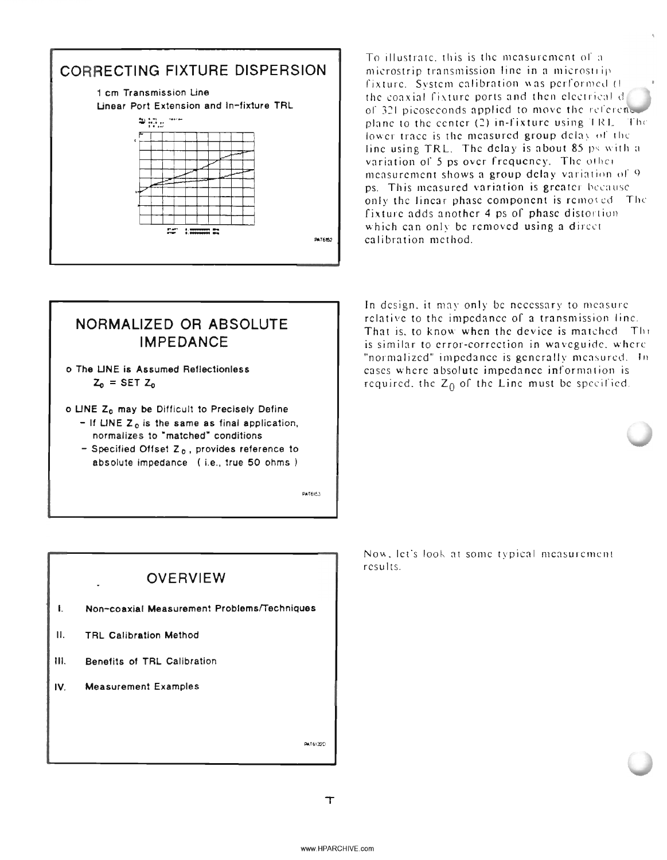

To illustrate, this is the measurement of a microstrip transmission line in a microstripfixture. System calibration was performed (1) the coaxial fixture ports and then electrical d of 321 picoseconds applied to move the reference plane to the center (2) in-fixture using TRL. The lower trace is the measured group delay of the line using TRL. The delay is about 85 ps with a variation of 5 ps over frequency. The other measurement shows a group delay variation of 9 ps. This measured variation is greater because only the linear phase component is removed. The fixture adds another 4 ps of phase distortion which can only be removed using a direct calibration method.

## NORMALIZED OR ABSOLUTE **IMPEDANCE**

- o The LINE is Assumed Reflectionless  $Z_0$  = SET  $Z_0$
- o LINE Z<sub>o</sub> may be Difficult to Precisely Define
	- $-$  If LINE  $Z_0$  is the same as final application, normalizes to "matched" conditions
	- Specified Offset  $Z_0$ , provides reference to absolute impedance (i.e., true 50 ohms)

PATEIRA

In design, it may only be necessary to measure relative to the impedance of a transmission line. That is, to know when the device is matched. The is similar to error-correction in waveguide, where "normalized" impedance is generally measured. In cases where absolute impedance information is required, the  $Z_0$  of the Line must be specified.



Now, let's look at some typical measurement results.

 $\top$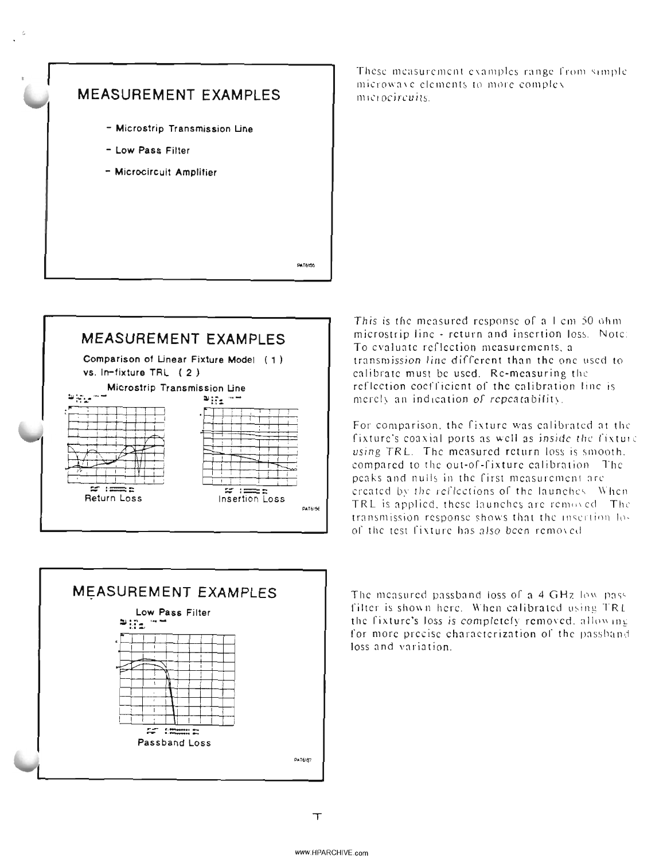





These measurement examples range from simple microwave elements to more complex microcircuits.

This is the measured response of a 1 cm 50 ohm. microstrip line - return and insertion loss. Note: To evaluate reflection measurements, a transmission line different than the one used to calibrate must be used. Re-measuring the reflection coefficient of the calibration line is merely an indication of repeatability.

For comparison, the fixture was calibrated at the fixture's coaxial ports as well as inside the fixture using TRL. The measured return loss is smooth. compared to the out-of-fixture calibration. The peaks and nulls in the first measurement are created by the reflections of the launches. When TRL is applied, these launches are removed. The transmission response shows that the insertion losof the test fixture has also been removed

The measured passband loss of a 4 GHz low pass filter is shown here. When calibrated using TRL the fixture's loss is completely removed, allowing for more precise characterization of the passband loss and variation.